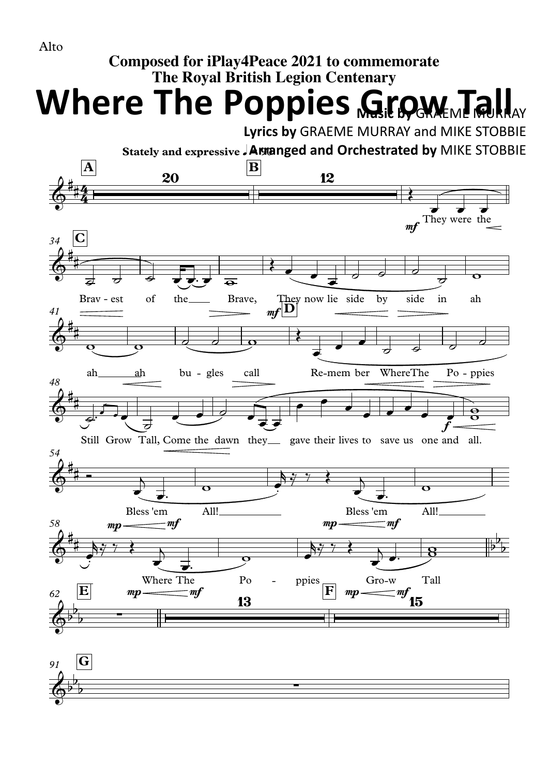

## **Composed for iPlay4Peace 2021 to commemorate The Royal British Legion Centenary**

**Where The Poppies Grow Tall** 

**Lyrics by** GRAEME MURRAY and MIKE STOBBIE

**Stately and expressive** q**= 90 Arranged and Orchestrated by** MIKE STOBBIE